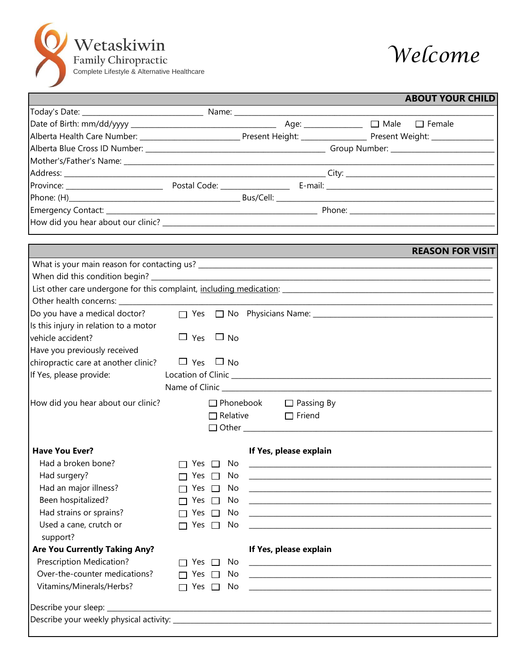



|                                                                                                                                        |                         |    |                                                           |  | <b>ABOUT YOUR CHILD</b>                                                                                               |
|----------------------------------------------------------------------------------------------------------------------------------------|-------------------------|----|-----------------------------------------------------------|--|-----------------------------------------------------------------------------------------------------------------------|
|                                                                                                                                        |                         |    |                                                           |  |                                                                                                                       |
|                                                                                                                                        |                         |    |                                                           |  |                                                                                                                       |
| Alberta Health Care Number: _____________________________Present Height: ________________________Present Weight: _____________________ |                         |    |                                                           |  |                                                                                                                       |
|                                                                                                                                        |                         |    |                                                           |  |                                                                                                                       |
|                                                                                                                                        |                         |    |                                                           |  |                                                                                                                       |
|                                                                                                                                        |                         |    |                                                           |  |                                                                                                                       |
|                                                                                                                                        |                         |    |                                                           |  |                                                                                                                       |
|                                                                                                                                        |                         |    |                                                           |  |                                                                                                                       |
|                                                                                                                                        |                         |    |                                                           |  |                                                                                                                       |
|                                                                                                                                        |                         |    |                                                           |  |                                                                                                                       |
|                                                                                                                                        |                         |    |                                                           |  |                                                                                                                       |
|                                                                                                                                        |                         |    |                                                           |  | <b>REASON FOR VISIT</b>                                                                                               |
|                                                                                                                                        |                         |    |                                                           |  |                                                                                                                       |
|                                                                                                                                        |                         |    |                                                           |  |                                                                                                                       |
| Other health concerns: ______________                                                                                                  |                         |    |                                                           |  |                                                                                                                       |
| Do you have a medical doctor?                                                                                                          |                         |    |                                                           |  |                                                                                                                       |
| Is this injury in relation to a motor                                                                                                  |                         |    |                                                           |  |                                                                                                                       |
| vehicle accident?                                                                                                                      | $\Box$ Yes $\Box$ No    |    |                                                           |  |                                                                                                                       |
| Have you previously received                                                                                                           |                         |    |                                                           |  |                                                                                                                       |
| chiropractic care at another clinic? $\Box$ Yes $\Box$ No                                                                              |                         |    |                                                           |  |                                                                                                                       |
| If Yes, please provide:                                                                                                                |                         |    |                                                           |  |                                                                                                                       |
|                                                                                                                                        |                         |    |                                                           |  |                                                                                                                       |
|                                                                                                                                        |                         |    | $\Box$ Phonebook $\Box$ Passing By                        |  |                                                                                                                       |
| How did you hear about our clinic?                                                                                                     |                         |    | $\Box$ Relative $\Box$ Friend                             |  |                                                                                                                       |
|                                                                                                                                        |                         |    |                                                           |  |                                                                                                                       |
|                                                                                                                                        |                         |    |                                                           |  |                                                                                                                       |
| <b>Have You Ever?</b>                                                                                                                  |                         |    | If Yes, please explain                                    |  |                                                                                                                       |
| Had a broken bone?                                                                                                                     |                         |    |                                                           |  |                                                                                                                       |
| Had surgery?                                                                                                                           | Yes                     | No | <u> 1989 - John Stone, Amerikaansk politiker (* 1918)</u> |  |                                                                                                                       |
| Had an major illness?                                                                                                                  | Yes                     | No |                                                           |  | <u> 1989 - Johann Harry Harry Harry Harry Harry Harry Harry Harry Harry Harry Harry Harry Harry Harry Harry Harry</u> |
| Been hospitalized?                                                                                                                     | Yes $\square$           | No |                                                           |  |                                                                                                                       |
| Had strains or sprains?                                                                                                                | Yes $\Box$              | No |                                                           |  |                                                                                                                       |
| Used a cane, crutch or<br>support?                                                                                                     | Yes $\square$           | No |                                                           |  |                                                                                                                       |
| <b>Are You Currently Taking Any?</b>                                                                                                   |                         |    | If Yes, please explain                                    |  |                                                                                                                       |
| Prescription Medication?                                                                                                               | Yes $\Box$              | No |                                                           |  |                                                                                                                       |
| Over-the-counter medications?                                                                                                          | Yes $\square$<br>$\Box$ | No |                                                           |  | <u> 1980 - Johann John Stoff, deutscher Stoffen und der Stoffen und der Stoffen und der Stoffen und der Stoffen</u>   |
| Vitamins/Minerals/Herbs?                                                                                                               | Yes $\square$<br>$\Box$ | No |                                                           |  |                                                                                                                       |
|                                                                                                                                        |                         |    |                                                           |  |                                                                                                                       |
|                                                                                                                                        |                         |    |                                                           |  |                                                                                                                       |